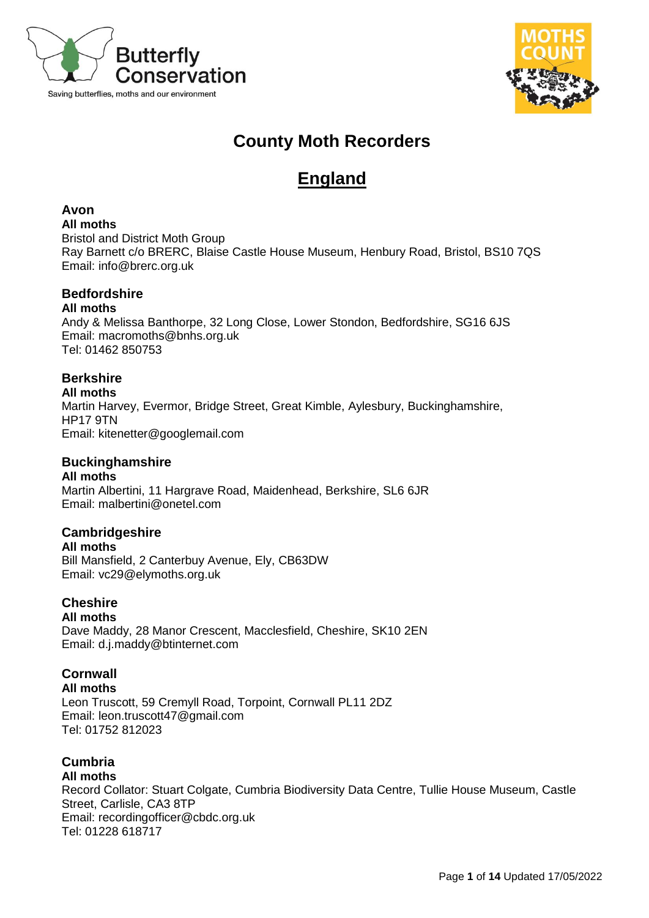



# **County Moth Recorders**

# **England**

# **Avon**

**All moths**

Bristol and District Moth Group Ray Barnett c/o BRERC, Blaise Castle House Museum, Henbury Road, Bristol, BS10 7QS Email: [info@brerc.org.uk](mailto:info@brerc.org.uk)

# **Bedfordshire**

**All moths**

Andy & Melissa Banthorpe, 32 Long Close, Lower Stondon, Bedfordshire, SG16 6JS Email: [macromoths@bnhs.org.uk](mailto:macromoths@bnhs.org.uk) Tel: 01462 850753

# **Berkshire**

**All moths**

Martin Harvey, Evermor, Bridge Street, Great Kimble, Aylesbury, Buckinghamshire, HP17 9TN Email: [kitenetter@googlemail.com](mailto:kitenetter@googlemail.com)

# **Buckinghamshire**

### **All moths**

Martin Albertini, 11 Hargrave Road, Maidenhead, Berkshire, SL6 6JR Email: malbertini@onetel.com

# **Cambridgeshire**

**All moths** Bill Mansfield, 2 Canterbuy Avenue, Ely, CB63DW Email: vc29@elymoths.org.uk

#### **Cheshire All moths**

Dave Maddy, 28 Manor Crescent, Macclesfield, Cheshire, SK10 2EN Email: d.j.maddy@btinternet.com

# **Cornwall**

**All moths** Leon Truscott, 59 Cremyll Road, Torpoint, Cornwall PL11 2DZ Email: leon.truscott47@gmail.com

Tel: 01752 812023

# **Cumbria**

## **All moths**

Record Collator: Stuart Colgate, Cumbria Biodiversity Data Centre, Tullie House Museum, Castle Street, Carlisle, CA3 8TP Email: recordingofficer@cbdc.org.uk Tel: 01228 618717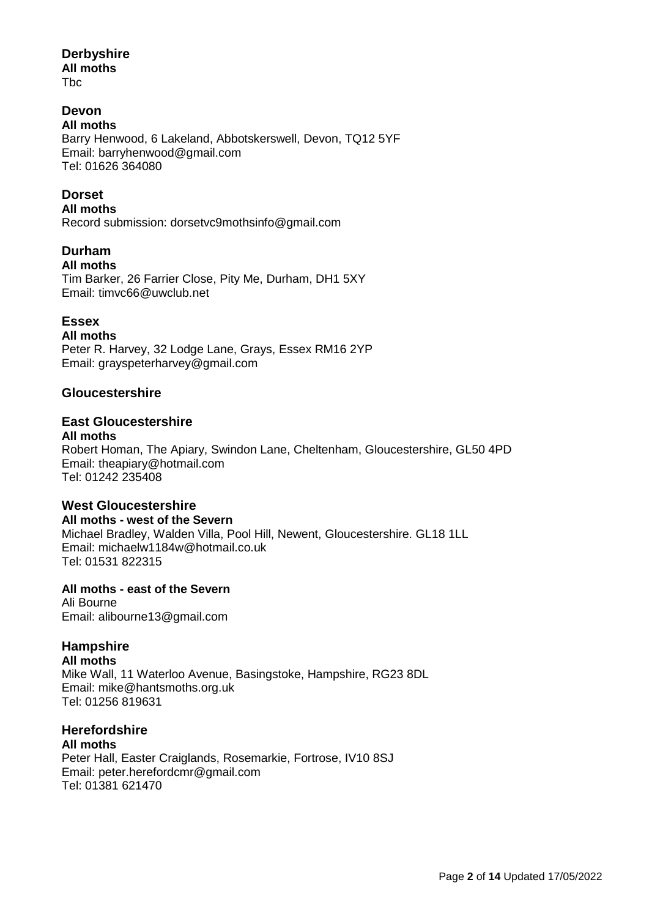# **Derbyshire**

**All moths**

Tbc

# **Devon**

**All moths** Barry Henwood, 6 Lakeland, Abbotskerswell, Devon, TQ12 5YF Email: barryhenwood@gmail.com Tel: 01626 364080

# **Dorset**

**All moths**  Record submission: dorsetvc9mothsinfo@gmail.com

# **Durham**

### **All moths**

Tim Barker, 26 Farrier Close, Pity Me, Durham, DH1 5XY Email: timvc66@uwclub.net

## **Essex**

**All moths**

Peter R. Harvey, 32 Lodge Lane, Grays, Essex RM16 2YP Email: grayspeterharvey@gmail.com

## **Gloucestershire**

#### **East Gloucestershire All moths**

Robert Homan, The Apiary, Swindon Lane, Cheltenham, Gloucestershire, GL50 4PD Email: theapiary@hotmail.com Tel: 01242 235408

## **West Gloucestershire**

**All moths - west of the Severn** Michael Bradley, Walden Villa, Pool Hill, Newent, Gloucestershire. GL18 1LL Email: michaelw1184w@hotmail.co.uk Tel: 01531 822315

## **All moths - east of the Severn**

Ali Bourne Email: alibourne13@gmail.com

# **Hampshire**

**All moths** Mike Wall, 11 Waterloo Avenue, Basingstoke, Hampshire, RG23 8DL Email: mike@hantsmoths.org.uk Tel: 01256 819631

#### **Herefordshire All moths**

Peter Hall, Easter Craiglands, Rosemarkie, Fortrose, IV10 8SJ Email: peter.herefordcmr@gmail.com Tel: 01381 621470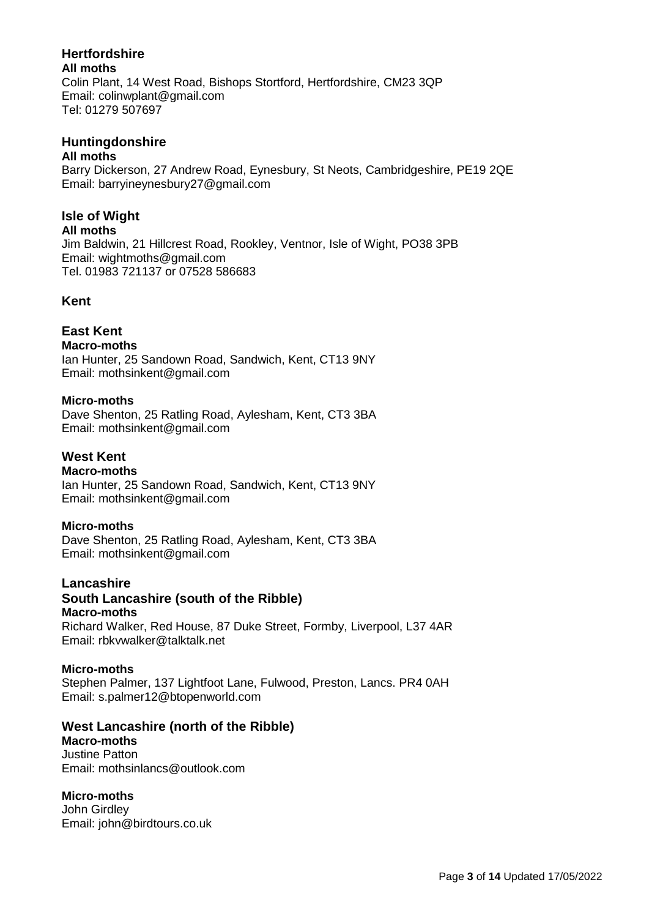# **Hertfordshire**

**All moths**

Colin Plant, 14 West Road, Bishops Stortford, Hertfordshire, CM23 3QP Email: colinwplant@gmail.com Tel: 01279 507697

# **Huntingdonshire**

### **All moths**

Barry Dickerson, 27 Andrew Road, Eynesbury, St Neots, Cambridgeshire, PE19 2QE Email: barryineynesbury27@gmail.com

# **Isle of Wight**

### **All moths**

Jim Baldwin, 21 Hillcrest Road, Rookley, Ventnor, Isle of Wight, PO38 3PB Email: wightmoths@gmail.com Tel. 01983 721137 or 07528 586683

# **Kent**

# **East Kent**

### **Macro-moths**

Ian Hunter, 25 Sandown Road, Sandwich, Kent, CT13 9NY Email: mothsinkent@gmail.com

### **Micro-moths**

Dave Shenton, 25 Ratling Road, Aylesham, Kent, CT3 3BA Email: mothsinkent@gmail.com

### **West Kent**

### **Macro-moths**

Ian Hunter, 25 Sandown Road, Sandwich, Kent, CT13 9NY Email: mothsinkent@gmail.com

## **Micro-moths**

Dave Shenton, 25 Ratling Road, Aylesham, Kent, CT3 3BA Email: mothsinkent@gmail.com

# **Lancashire**

# **South Lancashire (south of the Ribble)**

# **Macro-moths**

Richard Walker, Red House, 87 Duke Street, Formby, Liverpool, L37 4AR Email: rbkvwalker@talktalk.net

### **Micro-moths**

Stephen Palmer, 137 Lightfoot Lane, Fulwood, Preston, Lancs. PR4 0AH Email: s.palmer12@btopenworld.com

## **West Lancashire (north of the Ribble)**

**Macro-moths** Justine Patton Email: mothsinlancs@outlook.com

## **Micro-moths**

John Girdley Email: john@birdtours.co.uk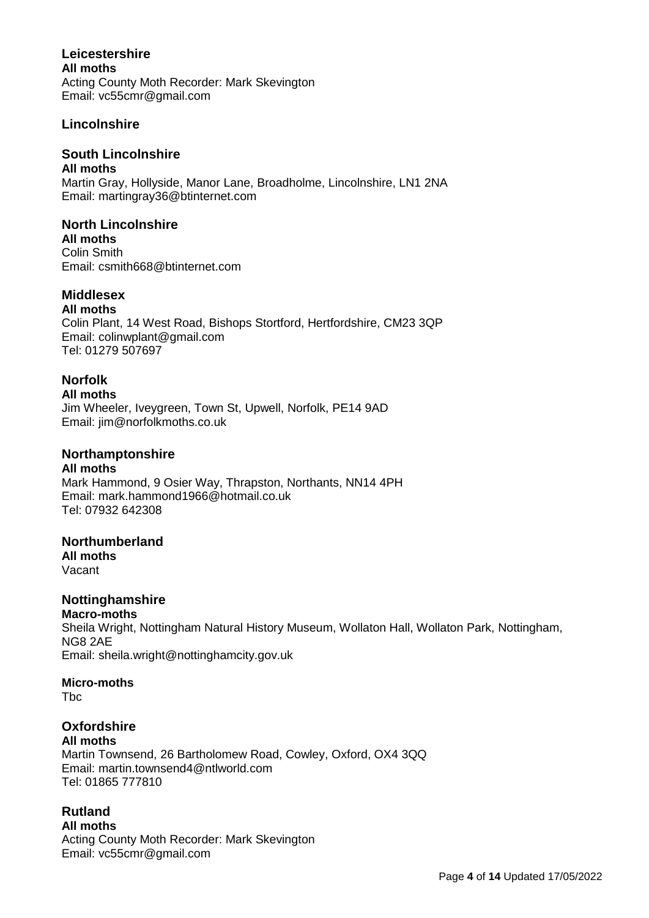### **Leicestershire All moths** Acting County Moth Recorder: Mark Skevington Email: vc55cmr@gmail.com

## **Lincolnshire**

## **South Lincolnshire**

**All moths**

Martin Gray, Hollyside, Manor Lane, Broadholme, Lincolnshire, LN1 2NA Email: martingray36@btinternet.com

### **North Lincolnshire**

**All moths** Colin Smith Email: csmith668@btinternet.com

## **Middlesex**

**All moths** Colin Plant, 14 West Road, Bishops Stortford, Hertfordshire, CM23 3QP Email: colinwplant@gmail.com Tel: 01279 507697

## **Norfolk**

#### **All moths**

Jim Wheeler, Iveygreen, Town St, Upwell, Norfolk, PE14 9AD Email: jim@norfolkmoths.co.uk

### **Northamptonshire**

**All moths** Mark Hammond, 9 Osier Way, Thrapston, Northants, NN14 4PH Email: mark.hammond1966@hotmail.co.uk Tel: 07932 642308

### **Northumberland**

**All moths** Vacant

## **Nottinghamshire**

#### **Macro-moths**

Sheila Wright, Nottingham Natural History Museum, Wollaton Hall, Wollaton Park, Nottingham, NG8 2AE

Email: [sheila.wright@nottinghamcity.gov.uk](mailto:sheila.wright@nottinghamcity.gov.uk) 

### **Micro-moths**

Tbc

#### **Oxfordshire All moths**

Martin Townsend, 26 Bartholomew Road, Cowley, Oxford, OX4 3QQ Email: [martin.townsend4@ntlworld.com](mailto:martin.townsend4@ntlworld.com) Tel: 01865 777810

# **Rutland**

**All moths** Acting County Moth Recorder: Mark Skevington Email: vc55cmr@gmail.com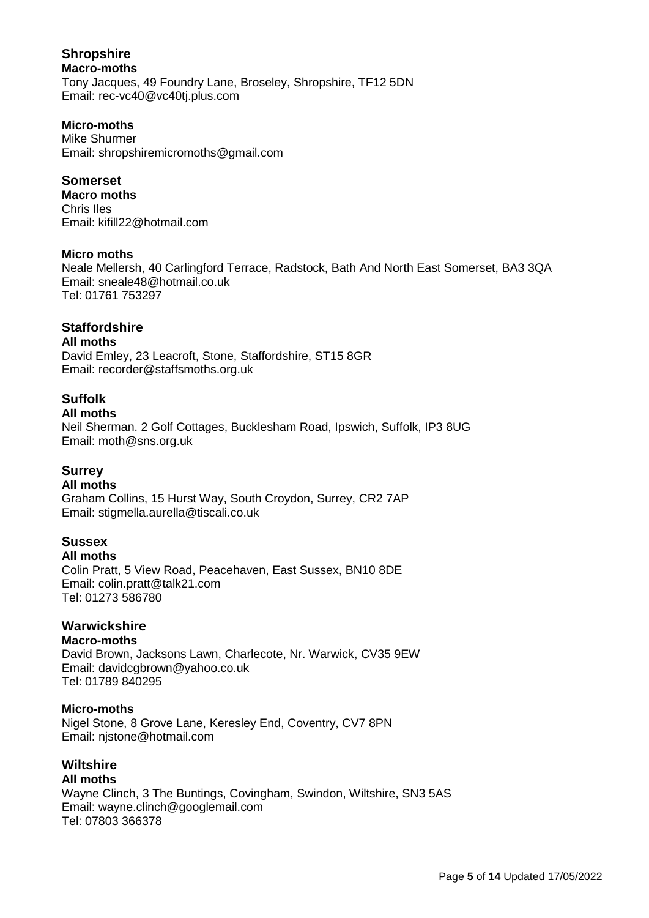### **Shropshire Macro-moths** Tony Jacques, 49 Foundry Lane, Broseley, Shropshire, TF12 5DN Email: rec-vc40@vc40tj.plus.com

### **Micro-moths**

Mike Shurmer Email: shropshiremicromoths@gmail.com

### **Somerset**

**Macro moths** Chris Iles Email: kifill22@hotmail.com

#### **Micro moths**

Neale Mellersh, 40 Carlingford Terrace, Radstock, Bath And North East Somerset, BA3 3QA Email: sneale48@hotmail.co.uk Tel: 01761 753297

# **Staffordshire**

#### **All moths**

David Emley, 23 Leacroft, Stone, Staffordshire, ST15 8GR Email: recorder@staffsmoths.org.uk

## **Suffolk**

## **All moths**

Neil Sherman. 2 Golf Cottages, Bucklesham Road, Ipswich, Suffolk, IP3 8UG Email: moth@sns.org.uk

### **Surrey**

### **All moths**

Graham Collins, 15 Hurst Way, South Croydon, Surrey, CR2 7AP Email: stigmella.aurella@tiscali.co.uk

## **Sussex**

**All moths** Colin Pratt, 5 View Road, Peacehaven, East Sussex, BN10 8DE Email: colin.pratt@talk21.com Tel: 01273 586780

### **Warwickshire**

### **Macro-moths**

David Brown, Jacksons Lawn, Charlecote, Nr. Warwick, CV35 9EW Email: [davidcgbrown@yahoo.co.uk](mailto:davidcgbrown@yahoo.co.uk) Tel: 01789 840295

### **Micro-moths**

Nigel Stone, 8 Grove Lane, Keresley End, Coventry, CV7 8PN Email: njstone@hotmail.com

# **Wiltshire**

### **All moths**

Wayne Clinch, 3 The Buntings, Covingham, Swindon, Wiltshire, SN3 5AS Email: wayne.clinch@googlemail.com Tel: 07803 366378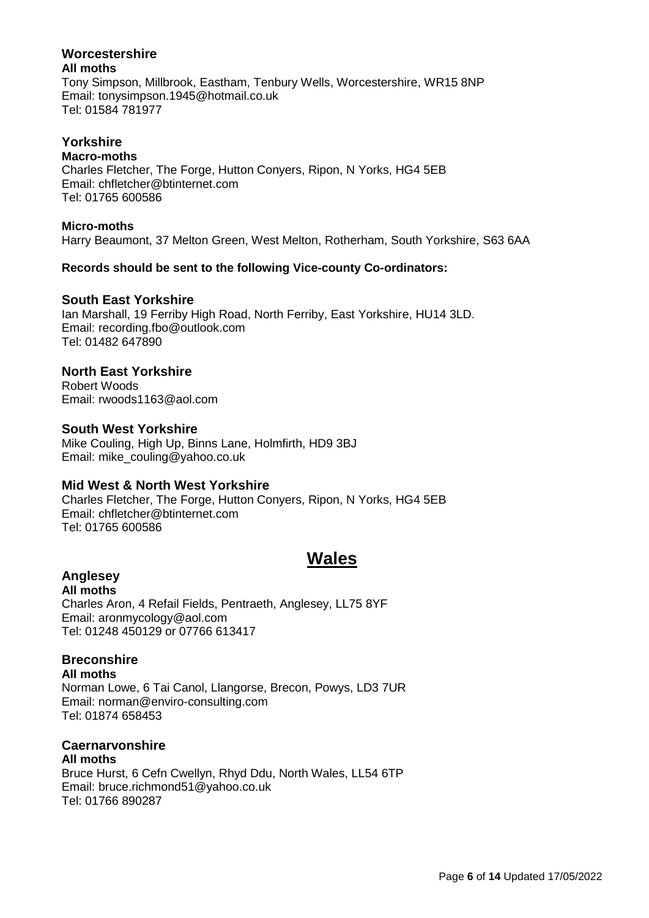#### **Worcestershire All moths**

Tony Simpson, Millbrook, Eastham, Tenbury Wells, Worcestershire, WR15 8NP Email: tonysimpson.1945@hotmail.co.uk Tel: 01584 781977

### **Yorkshire**

### **Macro-moths**

Charles Fletcher, The Forge, Hutton Conyers, Ripon, N Yorks, HG4 5EB Email: [chfletcher@btinternet.com](mailto:chfletcher@btinternet.com) Tel: 01765 600586

### **Micro-moths**

Harry Beaumont, 37 Melton Green, West Melton, Rotherham, South Yorkshire, S63 6AA

### **Records should be sent to the following Vice-county Co-ordinators:**

### **South East Yorkshire**

Ian Marshall, 19 Ferriby High Road, North Ferriby, East Yorkshire, HU14 3LD. Email: recording.fbo@outlook.com Tel: 01482 647890

### **North East Yorkshire**

Robert Woods Email: rwoods1163@aol.com

#### **South West Yorkshire**

Mike Couling, High Up, Binns Lane, Holmfirth, HD9 3BJ Email: [mike\\_couling@yahoo.co.uk](mailto:mike_couling@yahoo.co.uk)

### **Mid West & North West Yorkshire**

Charles Fletcher, The Forge, Hutton Conyers, Ripon, N Yorks, HG4 5EB Email: [chfletcher@btinternet.com](mailto:chfletcher@btinternet.com) Tel: 01765 600586

# **Wales**

# **Anglesey**

**All moths** Charles Aron, 4 Refail Fields, Pentraeth, Anglesey, LL75 8YF Email: aronmycology@aol.com Tel: 01248 450129 or 07766 613417

# **Breconshire**

**All moths** Norman Lowe, 6 Tai Canol, Llangorse, Brecon, Powys, LD3 7UR

Email: norman@enviro-consulting.com Tel: 01874 658453

# **Caernarvonshire**

**All moths** Bruce Hurst, 6 Cefn Cwellyn, Rhyd Ddu, North Wales, LL54 6TP Email: bruce.richmond51@yahoo.co.uk Tel: 01766 890287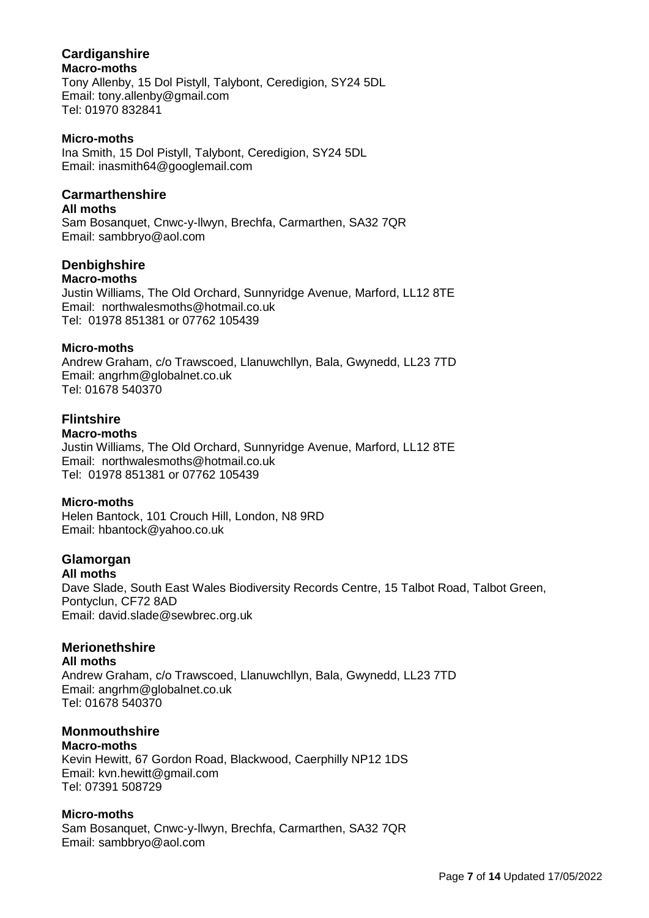#### **Cardiganshire Macro-moths**

Tony Allenby, 15 Dol Pistyll, Talybont, Ceredigion, SY24 5DL Email: tony.allenby@gmail.com Tel: 01970 832841

#### **Micro-moths**

Ina Smith, 15 Dol Pistyll, Talybont, Ceredigion, SY24 5DL Email: [inasmith64@googlemail.com](mailto:inasmith64@googlemail.com)

### **Carmarthenshire**

#### **All moths**

Sam Bosanquet, Cnwc-y-llwyn, Brechfa, Carmarthen, SA32 7QR Email: sambbryo@aol.com

### **Denbighshire**

#### **Macro-moths**

Justin Williams, The Old Orchard, Sunnyridge Avenue, Marford, LL12 8TE Email: [northwalesmoths@hotmail.co.uk](mailto:northwalesmoths@hotmail.co.uk) Tel: 01978 851381 or 07762 105439

#### **Micro-moths**

Andrew Graham, c/o Trawscoed, Llanuwchllyn, Bala, Gwynedd, LL23 7TD Email: angrhm@globalnet.co.uk Tel: 01678 540370

# **Flintshire**

### **Macro-moths**

Justin Williams, The Old Orchard, Sunnyridge Avenue, Marford, LL12 8TE Email: [northwalesmoths@hotmail.co.uk](mailto:northwalesmoths@hotmail.co.uk) Tel: 01978 851381 or 07762 105439

### **Micro-moths**

Helen Bantock, 101 Crouch Hill, London, N8 9RD Email: [hbantock@yahoo.co.uk](mailto:hbantock@yahoo.co.uk)

# **Glamorgan**

**All moths** Dave Slade, South East Wales Biodiversity Records Centre, 15 Talbot Road, Talbot Green, Pontyclun, CF72 8AD Email: david.slade@sewbrec.org.uk

## **Merionethshire**

**All moths** Andrew Graham, c/o Trawscoed, Llanuwchllyn, Bala, Gwynedd, LL23 7TD Email: angrhm@globalnet.co.uk Tel: 01678 540370

#### **Monmouthshire Macro-moths**

Kevin Hewitt, 67 Gordon Road, Blackwood, Caerphilly NP12 1DS Email: kvn.hewitt@gmail.com Tel: 07391 508729

### **Micro-moths**

Sam Bosanquet, Cnwc-y-llwyn, Brechfa, Carmarthen, SA32 7QR Email: sambbryo@aol.com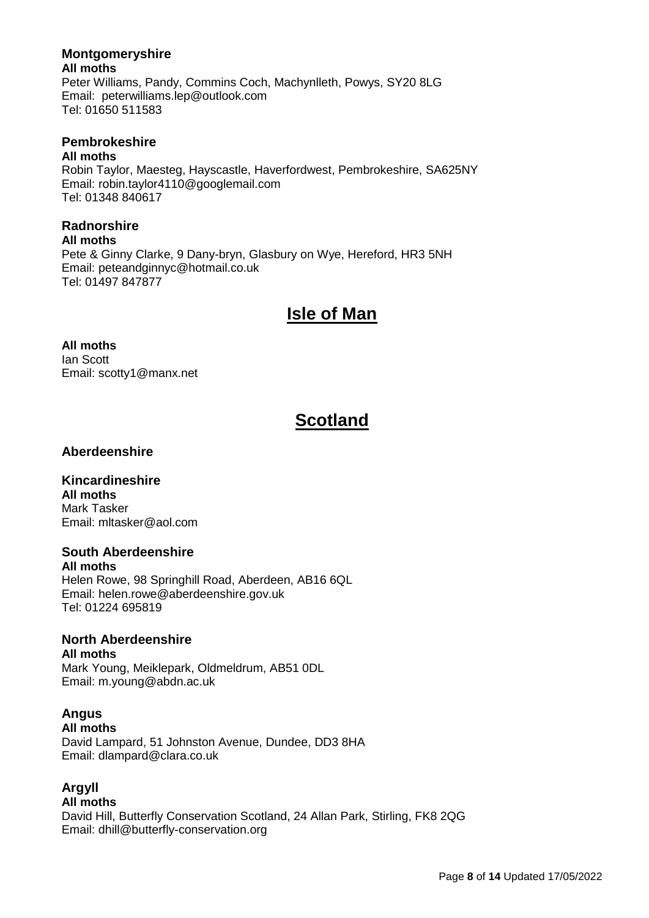# **Montgomeryshire**

**All moths** Peter Williams, Pandy, Commins Coch, Machynlleth, Powys, SY20 8LG Email: [peterwilliams.lep@outlook.com](mailto:peterwilliams526@btinternet.com) Tel: 01650 511583

# **Pembrokeshire**

### **All moths**

Robin Taylor, Maesteg, Hayscastle, Haverfordwest, Pembrokeshire, SA625NY Email: robin.taylor4110@googlemail.com Tel: 01348 840617

# **Radnorshire**

#### **All moths**

Pete & Ginny Clarke, 9 Dany-bryn, Glasbury on Wye, Hereford, HR3 5NH Email: peteandginnyc@hotmail.co.uk Tel: 01497 847877

# **Isle of Man**

#### **All moths** Ian Scott Email: scotty1@manx.net

# **Scotland**

# **Aberdeenshire**

# **Kincardineshire**

**All moths** Mark Tasker Email: mltasker@aol.com

## **South Aberdeenshire**

**All moths** Helen Rowe, 98 Springhill Road, Aberdeen, AB16 6QL Email: [helen.rowe@aberdeenshire.gov.uk](mailto:helen.rowe@aberdeenshire.gov.uk) Tel: 01224 695819

# **North Aberdeenshire**

**All moths** Mark Young, Meiklepark, Oldmeldrum, AB51 0DL Email: m.young@abdn.ac.uk

# **Angus**

### **All moths**

David Lampard, 51 Johnston Avenue, Dundee, DD3 8HA Email: dlampard@clara.co.uk

# **Argyll**

### **All moths**

David Hill, Butterfly Conservation Scotland, 24 Allan Park, Stirling, FK8 2QG Email: dhill@butterfly-conservation.org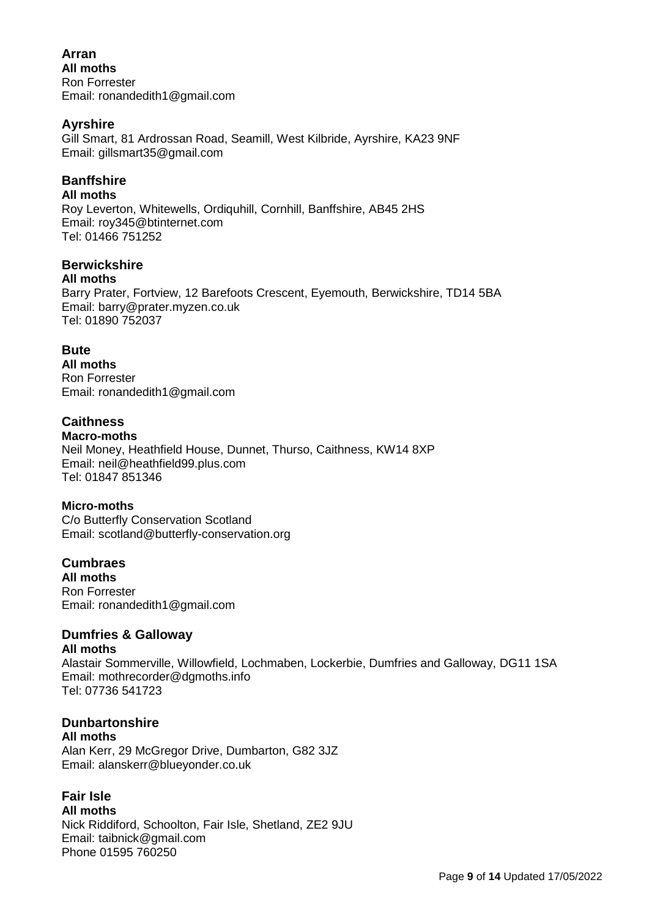### **Arran All moths** Ron Forrester Email: ronandedith1@gmail.com

## **Ayrshire**

Gill Smart, 81 Ardrossan Road, Seamill, West Kilbride, Ayrshire, KA23 9NF Email: gillsmart35@gmail.com

# **Banffshire**

### **All moths**

Roy Leverton, Whitewells, Ordiquhill, Cornhill, Banffshire, AB45 2HS Email: [roy345@btinternet.com](mailto:roy345@btinternet.com) Tel: 01466 751252

### **Berwickshire**

#### **All moths**

Barry Prater, Fortview, 12 Barefoots Crescent, Eyemouth, Berwickshire, TD14 5BA Email: barry@prater.myzen.co.uk Tel: 01890 752037

## **Bute**

**All moths** Ron Forrester Email: ronandedith1@gmail.com

# **Caithness**

**Macro-moths** Neil Money, Heathfield House, Dunnet, Thurso, Caithness, KW14 8XP Email: neil@heathfield99.plus.com Tel: 01847 851346

## **Micro-moths**

C/o Butterfly Conservation Scotland Email: scotland@butterfly-conservation.org

**Cumbraes All moths** Ron Forrester Email: ronandedith1@gmail.com

# **Dumfries & Galloway**

### **All moths**

Alastair Sommerville, Willowfield, Lochmaben, Lockerbie, Dumfries and Galloway, DG11 1SA Email: mothrecorder@dgmoths.info Tel: 07736 541723

## **Dunbartonshire**

**All moths** Alan Kerr, 29 McGregor Drive, Dumbarton, G82 3JZ Email: alanskerr@blueyonder.co.uk

## **Fair Isle**

**All moths** Nick Riddiford, Schoolton, Fair Isle, Shetland, ZE2 9JU Email: taibnick@gmail.com Phone 01595 760250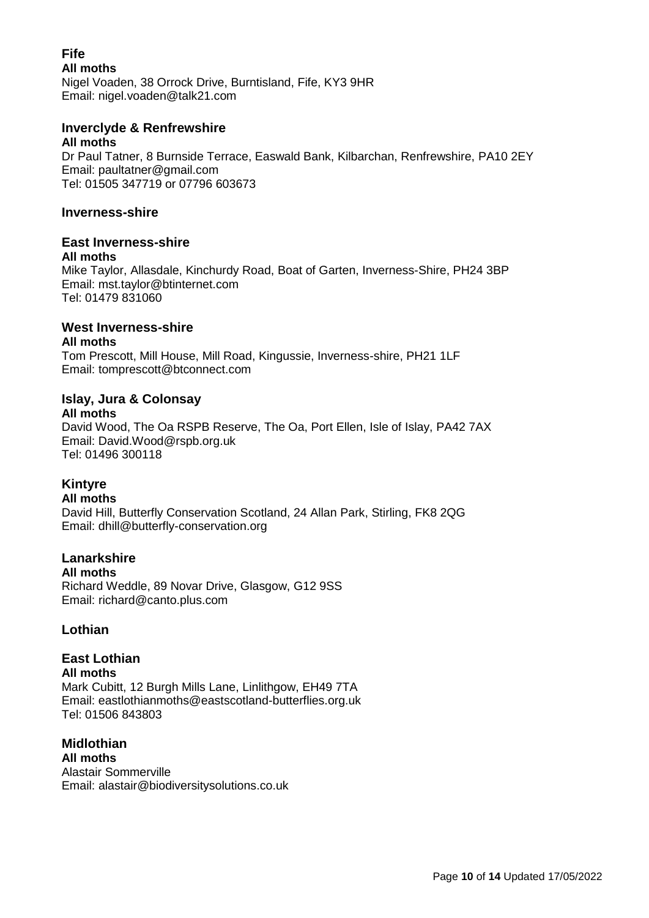#### **Fife All moths** Nigel Voaden, 38 Orrock Drive, Burntisland, Fife, KY3 9HR Email: nigel.voaden@talk21.com

#### **Inverclyde & Renfrewshire All moths**

Dr Paul Tatner, 8 Burnside Terrace, Easwald Bank, Kilbarchan, Renfrewshire, PA10 2EY Email: paultatner@gmail.com Tel: 01505 347719 or 07796 603673

### **Inverness-shire**

# **East Inverness-shire**

### **All moths**

Mike Taylor, Allasdale, Kinchurdy Road, Boat of Garten, Inverness-Shire, PH24 3BP Email: mst.taylor@btinternet.com Tel: 01479 831060

# **West Inverness-shire**

### **All moths**

Tom Prescott, Mill House, Mill Road, Kingussie, Inverness-shire, PH21 1LF Email: tomprescott@btconnect.com

# **Islay, Jura & Colonsay**

**All moths**

David Wood, The Oa RSPB Reserve, The Oa, Port Ellen, Isle of Islay, PA42 7AX Email: David.Wood@rspb.org.uk Tel: 01496 300118

# **Kintyre**

### **All moths**

David Hill, Butterfly Conservation Scotland, 24 Allan Park, Stirling, FK8 2QG Email: dhill@butterfly-conservation.org

# **Lanarkshire**

### **All moths**

Richard Weddle, 89 Novar Drive, Glasgow, G12 9SS Email: richard@canto.plus.com

## **Lothian**

### **East Lothian All moths** Mark Cubitt, 12 Burgh Mills Lane, Linlithgow, EH49 7TA Email: eastlothianmoths@eastscotland-butterflies.org.uk Tel: 01506 843803

**Midlothian All moths** Alastair Sommerville Email: [alastair@biodiversitysolutions.co.uk](mailto:alastair@biodiversitysolutions.co.uk)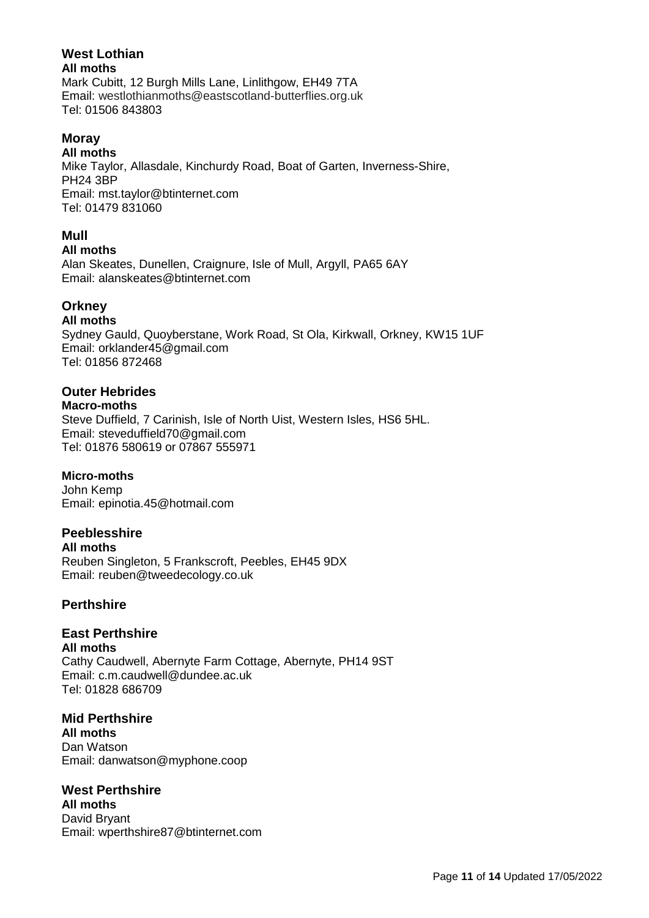#### **West Lothian All moths**

Mark Cubitt, 12 Burgh Mills Lane, Linlithgow, EH49 7TA Email: westlothianmoths@eastscotland-butterflies.org.uk Tel: 01506 843803

# **Moray**

**All moths**

Mike Taylor, Allasdale, Kinchurdy Road, Boat of Garten, Inverness-Shire, PH24 3BP Email: mst.taylor@btinternet.com Tel: 01479 831060

# **Mull**

### **All moths**

Alan Skeates, Dunellen, Craignure, Isle of Mull, Argyll, PA65 6AY Email: [alanskeates@btinternet.com](mailto:alanskeates@btinternet.com)

# **Orkney**

## **All moths**

Sydney Gauld, Quoyberstane, Work Road, St Ola, Kirkwall, Orkney, KW15 1UF Email: orklander45@gmail.com Tel: 01856 872468

# **Outer Hebrides**

#### **Macro-moths** Steve Duffield, 7 Carinish, Isle of North Uist, Western Isles, HS6 5HL. Email: [steveduffield70@gmail.com](mailto:steveduffield70@gmail.com) Tel: 01876 580619 or 07867 555971

# **Micro-moths**

John Kemp Email: epinotia.45@hotmail.com

# **Peeblesshire**

**All moths** Reuben Singleton, 5 Frankscroft, Peebles, EH45 9DX Email: reuben@tweedecology.co.uk

# **Perthshire**

# **East Perthshire**

**All moths** Cathy Caudwell, Abernyte Farm Cottage, Abernyte, PH14 9ST Email: c.m.caudwell@dundee.ac.uk Tel: 01828 686709

# **Mid Perthshire**

**All moths** Dan Watson Email: danwatson@myphone.coop

# **West Perthshire**

**All moths** David Bryant Email: wperthshire87@btinternet.com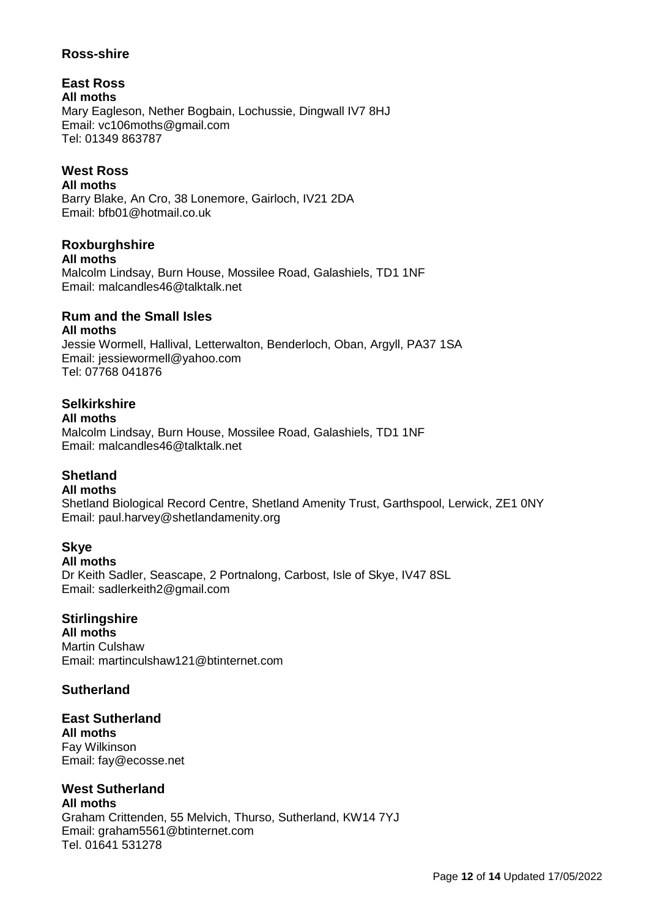### **Ross-shire**

**East Ross All moths** Mary Eagleson, Nether Bogbain, Lochussie, Dingwall IV7 8HJ Email: vc106moths@gmail.com Tel: 01349 863787

# **West Ross**

**All moths** Barry Blake, An Cro, 38 Lonemore, Gairloch, IV21 2DA Email: bfb01@hotmail.co.uk

#### **Roxburghshire All moths**

Malcolm Lindsay, Burn House, Mossilee Road, Galashiels, TD1 1NF Email: [malcandles46@talktalk.net](mailto:malcandles46@talktalk.net)

# **Rum and the Small Isles**

## **All moths**

Jessie Wormell, Hallival, Letterwalton, Benderloch, Oban, Argyll, PA37 1SA Email: [jessiewormell@yahoo.com](mailto:jessiewormell@yahoo.com) Tel: 07768 041876

# **Selkirkshire**

### **All moths**

Malcolm Lindsay, Burn House, Mossilee Road, Galashiels, TD1 1NF Email: [malcandles46@talktalk.net](mailto:malcandles46@talktalk.net)

# **Shetland**

### **All moths**

Shetland Biological Record Centre, Shetland Amenity Trust, Garthspool, Lerwick, ZE1 0NY Email: paul.harvey@shetlandamenity.org

## **Skye**

**All moths** Dr Keith Sadler, Seascape, 2 Portnalong, Carbost, Isle of Skye, IV47 8SL Email: sadlerkeith2@gmail.com

## **Stirlingshire**

**All moths** Martin Culshaw Email: martinculshaw121@btinternet.com

## **Sutherland**

**East Sutherland All moths** Fay Wilkinson Email: fay@ecosse.net

#### **West Sutherland All moths**

Graham Crittenden, 55 Melvich, Thurso, Sutherland, KW14 7YJ Email: graham5561@btinternet.com Tel. 01641 531278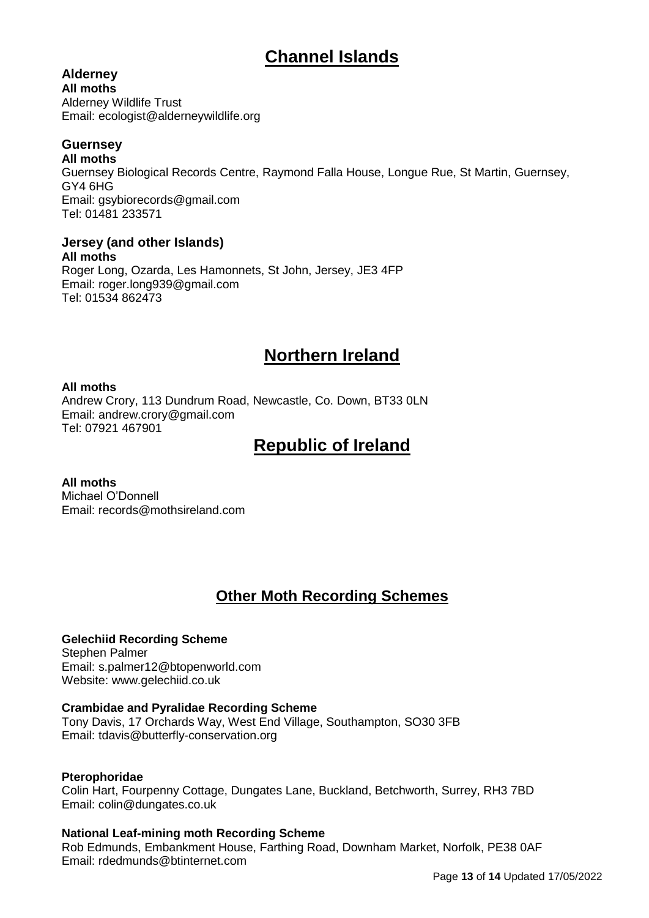# **Channel Islands**

# **Alderney**

**All moths** Alderney Wildlife Trust Email: ecologist@alderneywildlife.org

# **Guernsey**

**All moths** Guernsey Biological Records Centre, Raymond Falla House, Longue Rue, St Martin, Guernsey, GY4 6HG Email: gsybiorecords@gmail.com Tel: 01481 233571

**Jersey (and other Islands) All moths** Roger Long, Ozarda, Les Hamonnets, St John, Jersey, JE3 4FP Email: roger.long939@gmail.com Tel: 01534 862473

# **Northern Ireland**

### **All moths**

Andrew Crory, 113 Dundrum Road, Newcastle, Co. Down, BT33 0LN Email: [andrew.crory@gmail.com](mailto:andrew.crory@gmail.com) Tel: 07921 467901

# **Republic of Ireland**

**All moths** Michael O'Donnell Email: records@mothsireland.com

# **Other Moth Recording Schemes**

## **Gelechiid Recording Scheme**

Stephen Palmer Email: s.palmer12@btopenworld.com Website: [www.gelechiid.co.uk](http://www.gelechiid.co.uk/)

### **Crambidae and Pyralidae Recording Scheme**

Tony Davis, 17 Orchards Way, West End Village, Southampton, SO30 3FB Email: tdavis@butterfly-conservation.org

### **Pterophoridae**

Colin Hart, Fourpenny Cottage, Dungates Lane, Buckland, Betchworth, Surrey, RH3 7BD Email: colin@dungates.co.uk

### **National Leaf-mining moth Recording Scheme**

Rob Edmunds, Embankment House, Farthing Road, Downham Market, Norfolk, PE38 0AF Email: rdedmunds@btinternet.com